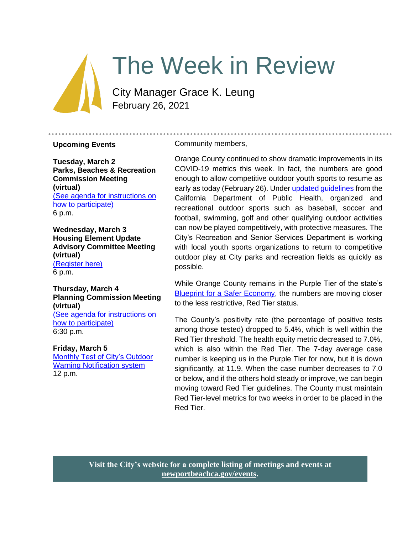# The Week in Review

City Manager Grace K. Leung February 26, 2021

#### **Upcoming Events**

**Tuesday, March 2 Parks, Beaches & Recreation Commission Meeting (virtual)** [\(See agenda for instructions on](https://newportbeachca.gov/Home/Components/Calendar/Event/65907/72?curm=3&cury=2021)  [how to participate\)](https://newportbeachca.gov/Home/Components/Calendar/Event/65907/72?curm=3&cury=2021) 6 p.m.

**Wednesday, March 3 Housing Element Update Advisory Committee Meeting (virtual)** [\(Register here\)](https://zoom.us/webinar/register/WN_-PjiyoykR_-NyLXucJ2D8g) 6 p.m.

**Thursday, March 4 Planning Commission Meeting (virtual)** [\(See agenda for instructions on](https://www.newportbeachca.gov/government/departments/community-development/planning-division/planning-commission)  [how to participate\)](https://www.newportbeachca.gov/government/departments/community-development/planning-division/planning-commission) 6:30 p.m.

#### **Friday, March 5**

[Monthly Test of City's Outdoor](https://newportbeachca.gov/Home/Components/Calendar/Event/63491/72?curm=3&cury=2021)  [Warning Notification system](https://newportbeachca.gov/Home/Components/Calendar/Event/63491/72?curm=3&cury=2021)  12 p.m.

#### Community members,

Orange County continued to show dramatic improvements in its COVID-19 metrics this week. In fact, the numbers are good enough to allow competitive outdoor youth sports to resume as early as today (February 26). Under [updated guidelines](https://www.cdph.ca.gov/Programs/CID/DCDC/Pages/COVID-19/outdoor-indoor-recreational-sports.aspx) from the California Department of Public Health, organized and recreational outdoor sports such as baseball, soccer and football, swimming, golf and other qualifying outdoor activities can now be played competitively, with protective measures. The City's Recreation and Senior Services Department is working with local youth sports organizations to return to competitive outdoor play at City parks and recreation fields as quickly as possible.

While Orange County remains in the Purple Tier of the state's [Blueprint for a Safer Economy,](https://covid19.ca.gov/safer-economy/#county-status) the numbers are moving closer to the less restrictive, Red Tier status.

The County's positivity rate (the percentage of positive tests among those tested) dropped to 5.4%, which is well within the Red Tier threshold. The health equity metric decreased to 7.0%, which is also within the Red Tier. The 7-day average case number is keeping us in the Purple Tier for now, but it is down significantly, at 11.9. When the case number decreases to 7.0 or below, and if the others hold steady or improve, we can begin moving toward Red Tier guidelines. The County must maintain Red Tier-level metrics for two weeks in order to be placed in the Red Tier.

**Visit the City's website for a complete listing of meetings and events at [newportbeachca.gov/events.](https://www.newportbeachca.gov/government/data-hub/city-calendar)**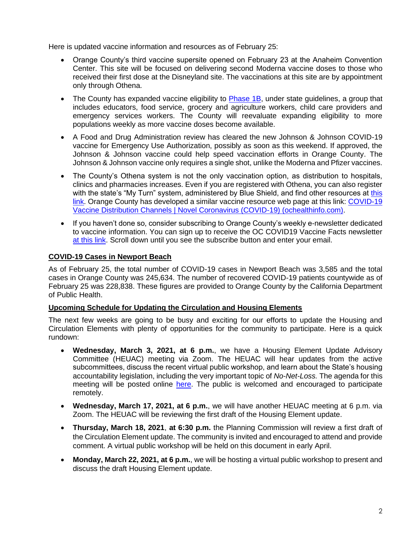Here is updated vaccine information and resources as of February 25:

- Orange County's third vaccine supersite opened on February 23 at the Anaheim Convention Center. This site will be focused on delivering second Moderna vaccine doses to those who received their first dose at the Disneyland site. The vaccinations at this site are by appointment only through Othena.
- The County has expanded vaccine eligibility to **Phase 1B**, under state guidelines, a group that includes educators, food service, grocery and agriculture workers, child care providers and emergency services workers. The County will reevaluate expanding eligibility to more populations weekly as more vaccine doses become available.
- A Food and Drug Administration review has cleared the new Johnson & Johnson COVID-19 vaccine for Emergency Use Authorization, possibly as soon as this weekend. If approved, the Johnson & Johnson vaccine could help speed vaccination efforts in Orange County. The Johnson & Johnson vaccine only requires a single shot, unlike the Moderna and Pfizer vaccines.
- The County's Othena system is not the only vaccination option, as distribution to hospitals, clinics and pharmacies increases. Even if you are registered with Othena, you can also register with the state's "My Turn" system, administered by Blue Shield, and find other resources at this [link.](https://www.blueshieldca.com/bsca/bsc/wcm/connect/sites/sites_content_en/coronavirus/vaccine-locations) Orange County has developed a similar vaccine resource web page at this link: [COVID-19](https://occovid19.ochealthinfo.com/covid-19-vaccine-distribution-channels)  [Vaccine Distribution Channels | Novel Coronavirus \(COVID-19\) \(ochealthinfo.com\).](https://occovid19.ochealthinfo.com/covid-19-vaccine-distribution-channels)
- If you haven't done so, consider subscribing to Orange County's weekly e-newsletter dedicated to vaccine information. You can sign up to receive the OC COVID19 Vaccine Facts newsletter [at this link.](https://occovid19.ochealthinfo.com/covid-19-vaccine-resources) Scroll down until you see the subscribe button and enter your email.

## **COVID-19 Cases in Newport Beach**

As of February 25, the total number of COVID-19 cases in Newport Beach was 3,585 and the total cases in Orange County was 245,634. The number of recovered COVID-19 patients countywide as of February 25 was 228,838. These figures are provided to Orange County by the California Department of Public Health.

## **Upcoming Schedule for Updating the Circulation and Housing Elements**

The next few weeks are going to be busy and exciting for our efforts to update the Housing and Circulation Elements with plenty of opportunities for the community to participate. Here is a quick rundown:

- **Wednesday, March 3, 2021, at 6 p.m.**, we have a Housing Element Update Advisory Committee (HEUAC) meeting via Zoom. The HEUAC will hear updates from the active subcommittees, discuss the recent virtual public workshop, and learn about the State's housing accountability legislation, including the very important topic of *No-Net-Loss.* The agenda for this meeting will be posted online [here.](https://www.newportbeachca.gov/Pln/Housing_Element_Update_Advisory_Committee/current_agenda.pdf) The public is welcomed and encouraged to participate remotely.
- **Wednesday, March 17, 2021, at 6 p.m.**, we will have another HEUAC meeting at 6 p.m. via Zoom. The HEUAC will be reviewing the first draft of the Housing Element update.
- **Thursday, March 18, 2021**, **at 6:30 p.m.** the Planning Commission will review a first draft of the Circulation Element update. The community is invited and encouraged to attend and provide comment. A virtual public workshop will be held on this document in early April.
- **Monday, March 22, 2021, at 6 p.m.**, we will be hosting a virtual public workshop to present and discuss the draft Housing Element update.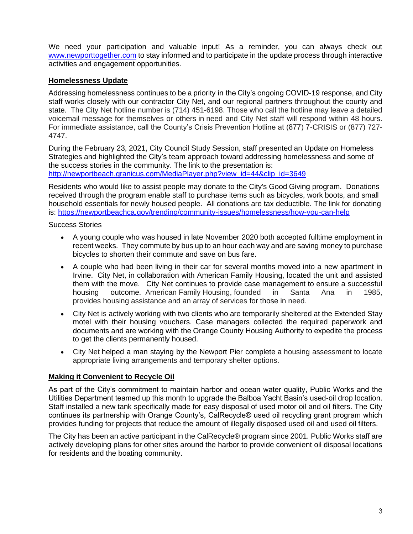We need your participation and valuable input! As a reminder, you can always check out [www.newporttogether.com](http://www.newporttogether.com/) to stay informed and to participate in the update process through interactive activities and engagement opportunities.

# **Homelessness Update**

Addressing homelessness continues to be a priority in the City's ongoing COVID-19 response, and City staff works closely with our contractor City Net, and our regional partners throughout the county and state. The City Net hotline number is (714) 451-6198. Those who call the hotline may leave a detailed voicemail message for themselves or others in need and City Net staff will respond within 48 hours. For immediate assistance, call the County's Crisis Prevention Hotline at (877) 7-CRISIS or (877) 727- 4747.

During the February 23, 2021, City Council Study Session, staff presented an Update on Homeless Strategies and highlighted the City's team approach toward addressing homelessness and some of the success stories in the community. The link to the presentation is: [http://newportbeach.granicus.com/MediaPlayer.php?view\\_id=44&clip\\_id=3649](http://newportbeach.granicus.com/MediaPlayer.php?view_id=44&clip_id=3649)

Residents who would like to assist people may donate to the City's Good Giving program. Donations received through the program enable staff to purchase items such as bicycles, work boots, and small household essentials for newly housed people. All donations are tax deductible. The link for donating is: <https://newportbeachca.gov/trending/community-issues/homelessness/how-you-can-help>

Success Stories

- A young couple who was housed in late November 2020 both accepted fulltime employment in recent weeks. They commute by bus up to an hour each way and are saving money to purchase bicycles to shorten their commute and save on bus fare.
- A couple who had been living in their car for several months moved into a new apartment in Irvine. City Net, in collaboration with American Family Housing, located the unit and assisted them with the move. City Net continues to provide case management to ensure a successful housing outcome. American Family Housing, founded in Santa Ana in 1985, provides housing assistance and an array of services for those in need.
- City Net is actively working with two clients who are temporarily sheltered at the Extended Stay motel with their housing vouchers. Case managers collected the required paperwork and documents and are working with the Orange County Housing Authority to expedite the process to get the clients permanently housed.
- City Net helped a man staying by the Newport Pier complete a housing assessment to locate appropriate living arrangements and temporary shelter options.

## **Making it Convenient to Recycle Oil**

As part of the City's commitment to maintain harbor and ocean water quality, Public Works and the Utilities Department teamed up this month to upgrade the Balboa Yacht Basin's used-oil drop location. Staff installed a new tank specifically made for easy disposal of used motor oil and oil filters. The City continues its partnership with Orange County's, CalRecycle® used oil recycling grant program which provides funding for projects that reduce the amount of illegally disposed used oil and used oil filters.

The City has been an active participant in the CalRecycle® program since 2001. Public Works staff are actively developing plans for other sites around the harbor to provide convenient oil disposal locations for residents and the boating community.